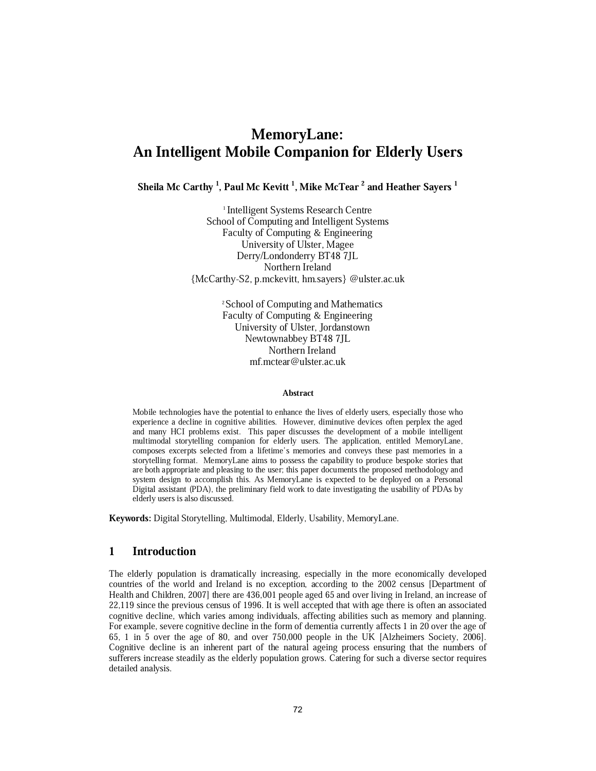# MemoryLane: An Intelligent Mobile Companion for Elderly Users

Sheila Mc Carthy  $^{\rm l}$ , Paul Mc Kevitt  $^{\rm l}$ , Mike McTear  $^{\rm 2}$  and Heather Sayers  $^{\rm l}$ 

1 Intelligent Systems Research Centre School of Computing and Intelligent Systems Faculty of Computing & Engineering University of Ulster, Magee Derry/Londonderry BT48 7JL Northern Ireland {McCarthy-S2, p.mckevitt, hm.sayers} @ulster.ac.uk

> <sup>2</sup> School of Computing and Mathematics Faculty of Computing & Engineering University of Ulster, Jordanstown Newtownabbey BT48 7JL Northern Ireland mf.mctear@ulster.ac.uk

#### Abstract

Mobile technologies have the potential to enhance the lives of elderly users, especially those who experience a decline in cognitive abilities. However, diminutive devices often perplex the aged and many HCI problems exist. This paper discusses the development of a mobile intelligent multimodal storytelling companion for elderly users. The application, entitled MemoryLane, composes excerpts selected from a lifetime's memories and conveys these past memories in a storytelling format. MemoryLane aims to possess the capability to produce bespoke stories that are both appropriate and pleasing to the user; this paper documents the proposed methodology and system design to accomplish this. As MemoryLane is expected to be deployed on a Personal Digital assistant (PDA), the preliminary field work to date investigating the usability of PDAs by elderly users is also discussed.

Keywords: Digital Storytelling, Multimodal, Elderly, Usability, MemoryLane.

# 1 Introduction

The elderly population is dramatically increasing, especially in the more economically developed countries of the world and Ireland is no exception, according to the 2002 census [Department of Health and Children, 2007] there are 436,001 people aged 65 and over living in Ireland, an increase of 22,119 since the previous census of 1996. It is well accepted that with age there is often an associated cognitive decline, which varies among individuals, affecting abilities such as memory and planning. For example, severe cognitive decline in the form of dementia currently affects 1 in 20 over the age of 65, 1 in 5 over the age of 80, and over 750,000 people in the UK [Alzheimers Society, 2006]. Cognitive decline is an inherent part of the natural ageing process ensuring that the numbers of sufferers increase steadily as the elderly population grows. Catering for such a diverse sector requires detailed analysis.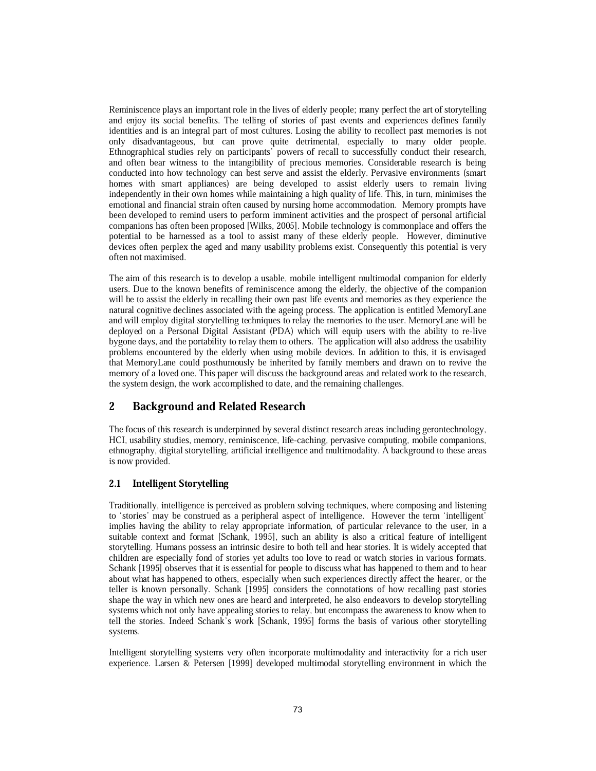Reminiscence plays an important role in the lives of elderly people; many perfect the art of storytelling and enjoy its social benefits. The telling of stories of past events and experiences defines family identities and is an integral part of most cultures. Losing the ability to recollect past memories is not only disadvantageous, but can prove quite detrimental, especially to many older people. Ethnographical studies rely on participants' powers of recall to successfully conduct their research, and often bear witness to the intangibility of precious memories. Considerable research is being conducted into how technology can best serve and assist the elderly. Pervasive environments (smart homes with smart appliances) are being developed to assist elderly users to remain living independently in their own homes while maintaining a high quality of life. This, in turn, minimises the emotional and financial strain often caused by nursing home accommodation. Memory prompts have been developed to remind users to perform imminent activities and the prospect of personal artificial companions has often been proposed [Wilks, 2005]. Mobile technology is commonplace and offers the potential to be harnessed as a tool to assist many of these elderly people. However, diminutive devices often perplex the aged and many usability problems exist. Consequently this potential is very often not maximised.

The aim of this research is to develop a usable, mobile intelligent multimodal companion for elderly users. Due to the known benefits of reminiscence among the elderly, the objective of the companion will be to assist the elderly in recalling their own past life events and memories as they experience the natural cognitive declines associated with the ageing process. The application is entitled MemoryLane and will employ digital storytelling techniques to relay the memories to the user. MemoryLane will be deployed on a Personal Digital Assistant (PDA) which will equip users with the ability to re-live bygone days, and the portability to relay them to others. The application will also address the usability problems encountered by the elderly when using mobile devices. In addition to this, it is envisaged that MemoryLane could posthumously be inherited by family members and drawn on to revive the memory of a loved one. This paper will discuss the background areas and related work to the research, the system design, the work accomplished to date, and the remaining challenges.

# 2 Background and Related Research

The focus of this research is underpinned by several distinct research areas including gerontechnology, HCI, usability studies, memory, reminiscence, life-caching, pervasive computing, mobile companions, ethnography, digital storytelling, artificial intelligence and multimodality. A background to these areas is now provided.

### 2.1 Intelligent Storytelling

Traditionally, intelligence is perceived as problem solving techniques, where composing and listening to `stories' may be construed as a peripheral aspect of intelligence. However the term `intelligent' implies having the ability to relay appropriate information, of particular relevance to the user, in a suitable context and format [Schank, 1995], such an ability is also a critical feature of intelligent storytelling. Humans possess an intrinsic desire to both tell and hear stories. It is widely accepted that children are especially fond of stories yet adults too love to read or watch stories in various formats. Schank [1995] observes that it is essential for people to discuss what has happened to them and to hear about what has happened to others, especially when such experiences directly affect the hearer, or the teller is known personally. Schank [1995] considers the connotations of how recalling past stories shape the way in which new ones are heard and interpreted, he also endeavors to develop storytelling systems which not only have appealing stories to relay, but encompass the awareness to know when to tell the stories. Indeed Schank's work [Schank, 1995] forms the basis of various other storytelling systems.

Intelligent storytelling systems very often incorporate multimodality and interactivity for a rich user experience. Larsen & Petersen [1999] developed multimodal storytelling environment in which the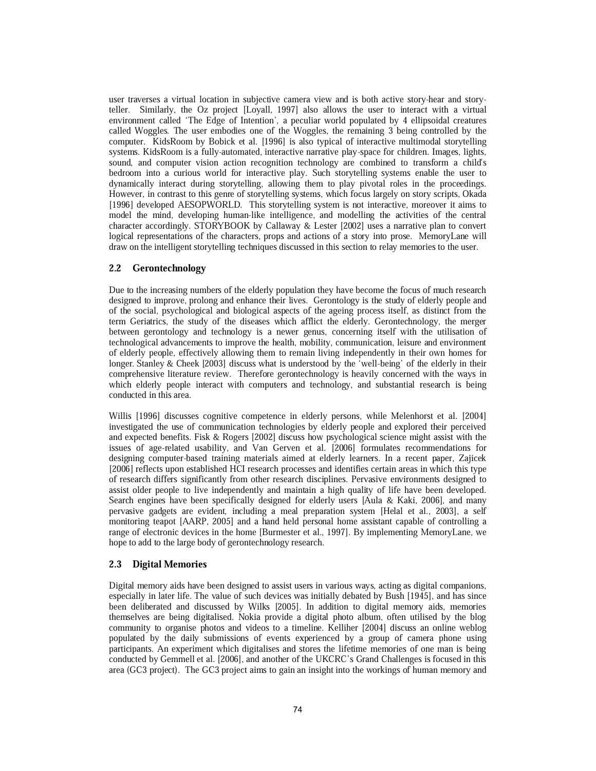user traverses a virtual location in subjective camera view and is both active story-hear and storyteller. Similarly, the Oz project [Loyall, 1997] also allows the user to interact with a virtual environment called `The Edge of Intention', a peculiar world populated by 4 ellipsoidal creatures called Woggles. The user embodies one of the Woggles, the remaining 3 being controlled by the computer. KidsRoom by Bobick et al. [1996] is also typical of interactive multimodal storytelling systems. KidsRoom is a fully-automated, interactive narrative play-space for children. Images, lights, sound, and computer vision action recognition technology are combined to transform a child's bedroom into a curious world for interactive play. Such storytelling systems enable the user to dynamically interact during storytelling, allowing them to play pivotal roles in the proceedings. However, in contrast to this genre of storytelling systems, which focus largely on story scripts, Okada [1996] developed AESOPWORLD. This storytelling system is not interactive, moreover it aims to model the mind, developing human-like intelligence, and modelling the activities of the central character accordingly. STORYBOOK by Callaway & Lester [2002] uses a narrative plan to convert logical representations of the characters, props and actions of a story into prose. MemoryLane will draw on the intelligent storytelling techniques discussed in this section to relay memories to the user.

### 2.2 Gerontechnology

Due to the increasing numbers of the elderly population they have become the focus of much research designed to improve, prolong and enhance their lives. Gerontology is the study of elderly people and of the social, psychological and biological aspects of the ageing process itself, as distinct from the term Geriatrics, the study of the diseases which afflict the elderly. Gerontechnology, the merger between gerontology and technology is a newer genus, concerning itself with the utilisation of technological advancements to improve the health, mobility, communication, leisure and environment of elderly people, effectively allowing them to remain living independently in their own homes for longer. Stanley & Cheek [2003] discuss what is understood by the 'well-being' of the elderly in their comprehensive literature review. Therefore gerontechnology is heavily concerned with the ways in which elderly people interact with computers and technology, and substantial research is being conducted in this area.

Willis [1996] discusses cognitive competence in elderly persons, while Melenhorst et al. [2004] investigated the use of communication technologies by elderly people and explored their perceived and expected benefits. Fisk & Rogers [2002] discuss how psychological science might assist with the issues of age-related usability, and Van Gerven et al. [2006] formulates recommendations for designing computer-based training materials aimed at elderly learners. In a recent paper, Zajicek [2006] reflects upon established HCI research processes and identifies certain areas in which this type of research differs significantly from other research disciplines. Pervasive environments designed to assist older people to live independently and maintain a high quality of life have been developed. Search engines have been specifically designed for elderly users [Aula & Kaki, 2006], and many pervasive gadgets are evident, including a meal preparation system [Helal et al., 2003], a self monitoring teapot [AARP, 2005] and a hand held personal home assistant capable of controlling a range of electronic devices in the home [Burmester et al., 1997]. By implementing MemoryLane, we hope to add to the large body of gerontechnology research.

### 2.3 Digital Memories

Digital memory aids have been designed to assist users in various ways, acting as digital companions, especially in later life. The value of such devices was initially debated by Bush [1945], and has since been deliberated and discussed by Wilks [2005]. In addition to digital memory aids, memories themselves are being digitalised. Nokia provide a digital photo album, often utilised by the blog community to organise photos and videos to a timeline. Kelliher [2004] discuss an online weblog populated by the daily submissions of events experienced by a group of camera phone using participants. An experiment which digitalises and stores the lifetime memories of one man is being conducted by Gemmell et al. [2006], and another of the UKCRC's Grand Challenges is focused in this area (GC3 project). The GC3 project aims to gain an insight into the workings of human memory and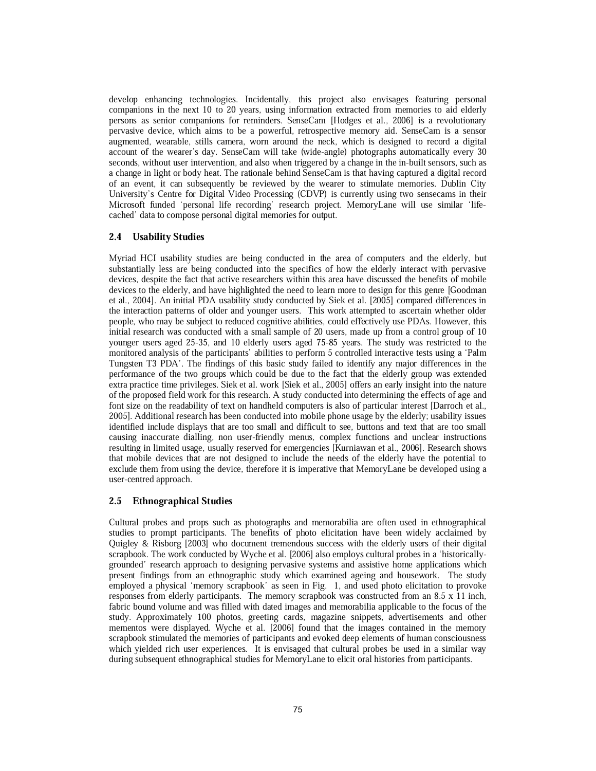develop enhancing technologies. Incidentally, this project also envisages featuring personal companions in the next 10 to 20 years, using information extracted from memories to aid elderly persons as senior companions for reminders. SenseCam [Hodges et al., 2006] is a revolutionary pervasive device, which aims to be a powerful, retrospective memory aid. SenseCam is a sensor augmented, wearable, stills camera, worn around the neck, which is designed to record a digital account of the wearer's day. SenseCam will take (wide-angle) photographs automatically every 30 seconds, without user intervention, and also when triggered by a change in the in-built sensors, such as a change in light or body heat. The rationale behind SenseCam is that having captured a digital record of an event, it can subsequently be reviewed by the wearer to stimulate memories. Dublin City University's Centre for Digital Video Processing (CDVP) is currently using two sensecams in their Microsoft funded `personal life recording' research project. MemoryLane will use similar `lifecached' data to compose personal digital memories for output.

### 2.4 Usability Studies

Myriad HCI usability studies are being conducted in the area of computers and the elderly, but substantially less are being conducted into the specifics of how the elderly interact with pervasive devices, despite the fact that active researchers within this area have discussed the benefits of mobile devices to the elderly, and have highlighted the need to learn more to design for this genre [Goodman et al., 2004]. An initial PDA usability study conducted by Siek et al. [2005] compared differences in the interaction patterns of older and younger users. This work attempted to ascertain whether older people, who may be subject to reduced cognitive abilities, could effectively use PDAs. However, this initial research was conducted with a small sample of 20 users, made up from a control group of 10 younger users aged 25-35, and 10 elderly users aged 75-85 years. The study was restricted to the monitored analysis of the participants' abilities to perform 5 controlled interactive tests using a `Palm Tungsten T3 PDA'. The findings of this basic study failed to identify any major differences in the performance of the two groups which could be due to the fact that the elderly group was extended extra practice time privileges. Siek et al. work [Siek et al., 2005] offers an early insight into the nature of the proposed field work for this research. A study conducted into determining the effects of age and font size on the readability of text on handheld computers is also of particular interest [Darroch et al., 2005]. Additional research has been conducted into mobile phone usage by the elderly; usability issues identified include displays that are too small and difficult to see, buttons and text that are too small causing inaccurate dialling, non user-friendly menus, complex functions and unclear instructions resulting in limited usage, usually reserved for emergencies [Kurniawan et al., 2006]. Research shows that mobile devices that are not designed to include the needs of the elderly have the potential to exclude them from using the device, therefore it is imperative that MemoryLane be developed using a user-centred approach.

### 2.5 Ethnographical Studies

Cultural probes and props such as photographs and memorabilia are often used in ethnographical studies to prompt participants. The benefits of photo elicitation have been widely acclaimed by Quigley & Risborg [2003] who document tremendous success with the elderly users of their digital scrapbook. The work conducted by Wyche et al. [2006] also employs cultural probes in a `historicallygrounded' research approach to designing pervasive systems and assistive home applications which present findings from an ethnographic study which examined ageing and housework. The study employed a physical `memory scrapbook' as seen in Fig. 1, and used photo elicitation to provoke responses from elderly participants. The memory scrapbook was constructed from an 8.5 x 11 inch, fabric bound volume and was filled with dated images and memorabilia applicable to the focus of the study. Approximately 100 photos, greeting cards, magazine snippets, advertisements and other mementos were displayed. Wyche et al. [2006] found that the images contained in the memory scrapbook stimulated the memories of participants and evoked deep elements of human consciousness which yielded rich user experiences. It is envisaged that cultural probes be used in a similar way during subsequent ethnographical studies for MemoryLane to elicit oral histories from participants.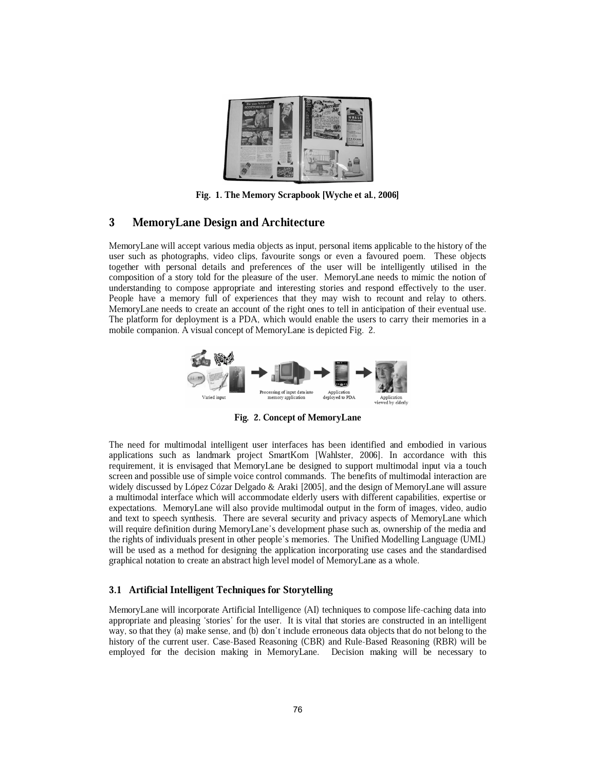

Fig. 1. The Memory Scrapbook [Wyche et al., 2006]

### 3 MemoryLane Design and Architecture

MemoryLane will accept various media objects as input, personal items applicable to the history of the user such as photographs, video clips, favourite songs or even a favoured poem. These objects together with personal details and preferences of the user will be intelligently utilised in the composition of a story told for the pleasure of the user. MemoryLane needs to mimic the notion of understanding to compose appropriate and interesting stories and respond effectively to the user. People have a memory full of experiences that they may wish to recount and relay to others. MemoryLane needs to create an account of the right ones to tell in anticipation of their eventual use. The platform for deployment is a PDA, which would enable the users to carry their memories in a mobile companion. A visual concept of MemoryLane is depicted Fig. 2.



Fig. 2. Concept of MemoryLane

The need for multimodal intelligent user interfaces has been identified and embodied in various applications such as landmark project SmartKom [Wahlster, 2006]. In accordance with this requirement, it is envisaged that MemoryLane be designed to support multimodal input via a touch screen and possible use of simple voice control commands. The benefits of multimodal interaction are widely discussed by López Cózar Delgado & Araki [2005], and the design of MemoryLane will assure a multimodal interface which will accommodate elderly users with different capabilities, expertise or expectations. MemoryLane will also provide multimodal output in the form of images, video, audio and text to speech synthesis. There are several security and privacy aspects of MemoryLane which will require definition during MemoryLane's development phase such as, ownership of the media and the rights of individuals present in other people's memories. The Unified Modelling Language (UML) will be used as a method for designing the application incorporating use cases and the standardised graphical notation to create an abstract high level model of MemoryLane as a whole.

#### 3.1 Artificial Intelligent Techniques for Storytelling

MemoryLane will incorporate Artificial Intelligence (AI) techniques to compose life-caching data into appropriate and pleasing `stories' for the user. It is vital that stories are constructed in an intelligent way, so that they (a) make sense, and (b) don't include erroneous data objects that do not belong to the history of the current user. Case-Based Reasoning (CBR) and Rule-Based Reasoning (RBR) will be employed for the decision making in MemoryLane. Decision making will be necessary to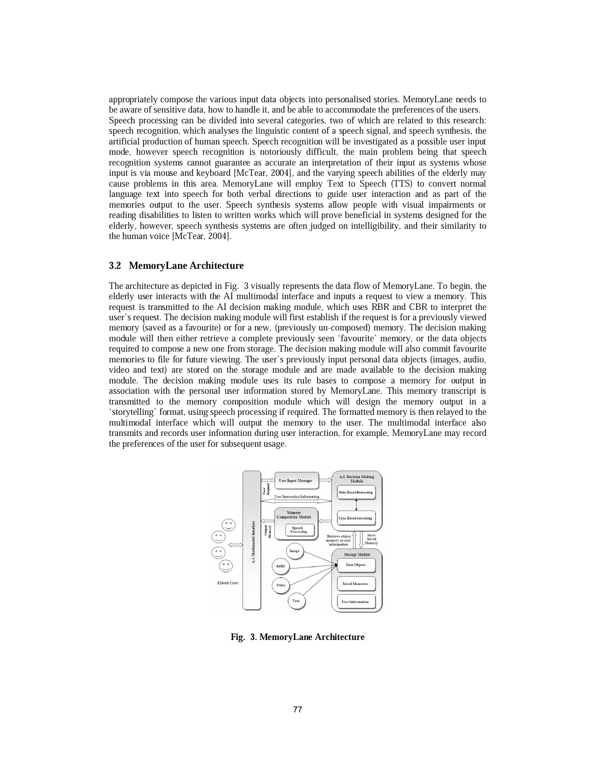appropriately compose the various input data objects into personalised stories. MemoryLane needs to be aware of sensitive data, how to handle it, and be able to accommodate the preferences of the users. Speech processing can be divided into several categories, two of which are related to this research: speech recognition, which analyses the linguistic content of a speech signal, and speech synthesis, the artificial production of human speech. Speech recognition will be investigated as a possible user input mode, however speech recognition is notoriously difficult, the main problem being that speech recognition systems cannot guarantee as accurate an interpretation of their input as systems whose input is via mouse and keyboard [McTear, 2004], and the varying speech abilities of the elderly may cause problems in this area. MemoryLane will employ Text to Speech (TTS) to convert normal language text into speech for both verbal directions to guide user interaction and as part of the memories output to the user. Speech synthesis systems allow people with visual impairments or reading disabilities to listen to written works which will prove beneficial in systems designed for the elderly, however, speech synthesis systems are often judged on intelligibility, and their similarity to the human voice [McTear, 2004].

#### 3.2 MemoryLane Architecture

The architecture as depicted in Fig. 3 visually represents the data flow of MemoryLane. To begin, the elderly user interacts with the AI multimodal interface and inputs a request to view a memory. This request is transmitted to the AI decision making module, which uses RBR and CBR to interpret the user's request. The decision making module will first establish if the request is for a previously viewed memory (saved as a favourite) or for a new, (previously un-composed) memory. The decision making module will then either retrieve a complete previously seen 'favourite' memory, or the data objects required to compose a new one from storage. The decision making module will also commit favourite memories to file for future viewing. The user's previously input personal data objects (images, audio, video and text) are stored on the storage module and are made available to the decision making module. The decision making module uses its rule bases to compose a memory for output in association with the personal user information stored by MemoryLane. This memory transcript is transmitted to the memory composition module which will design the memory output in a `storytelling' format, using speech processing if required. The formatted memory is then relayed to the multimodal interface which will output the memory to the user. The multimodal interface also transmits and records user information during user interaction, for example, MemoryLane may record the preferences of the user for subsequent usage.



Fig. 3. MemoryLane Architecture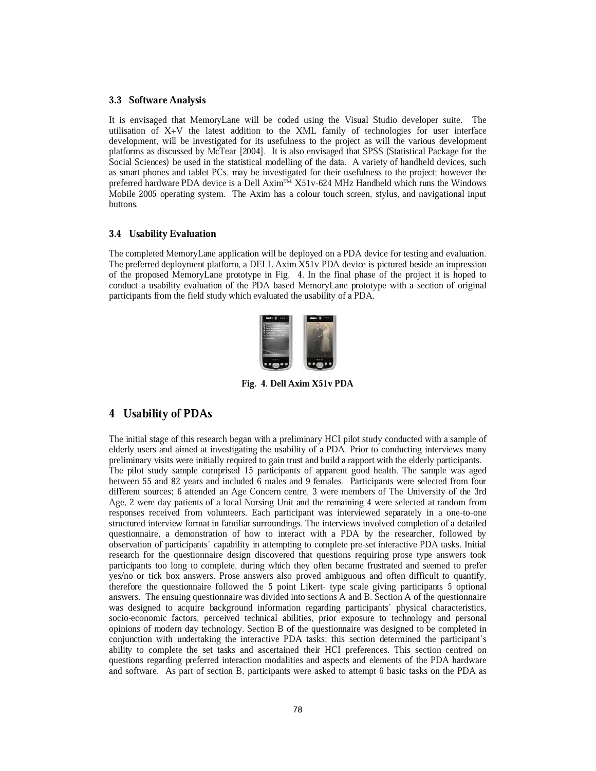### 3.3 Software Analysis

It is envisaged that MemoryLane will be coded using the Visual Studio developer suite. The utilisation of X+V the latest addition to the XML family of technologies for user interface development, will be investigated for its usefulness to the project as will the various development platforms as discussed by McTear [2004]. It is also envisaged that SPSS (Statistical Package for the Social Sciences) be used in the statistical modelling of the data. A variety of handheld devices, such as smart phones and tablet PCs, may be investigated for their usefulness to the project; however the preferred hardware PDA device is a Dell Axim<sup>TM</sup> X51v-624 MHz Handheld which runs the Windows Mobile 2005 operating system. The Axim has a colour touch screen, stylus, and navigational input buttons.

#### 3.4 Usability Evaluation

The completed MemoryLane application will be deployed on a PDA device for testing and evaluation. The preferred deployment platform, a DELL Axim X51v PDA device is pictured beside an impression of the proposed MemoryLane prototype in Fig. 4. In the final phase of the project it is hoped to conduct a usability evaluation of the PDA based MemoryLane prototype with a section of original participants from the field study which evaluated the usability of a PDA.



Fig. 4. Dell Axim X51v PDA

### 4 Usability of PDAs

The initial stage of this research began with a preliminary HCI pilot study conducted with a sample of elderly users and aimed at investigating the usability of a PDA. Prior to conducting interviews many preliminary visits were initially required to gain trust and build a rapport with the elderly participants. The pilot study sample comprised 15 participants of apparent good health. The sample was aged between 55 and 82 years and included 6 males and 9 females. Participants were selected from four different sources; 6 attended an Age Concern centre, 3 were members of The University of the 3rd Age, 2 were day patients of a local Nursing Unit and the remaining 4 were selected at random from responses received from volunteers. Each participant was interviewed separately in a one-to-one structured interview format in familiar surroundings. The interviews involved completion of a detailed questionnaire, a demonstration of how to interact with a PDA by the researcher, followed by observation of participants' capability in attempting to complete pre-set interactive PDA tasks. Initial research for the questionnaire design discovered that questions requiring prose type answers took participants too long to complete, during which they often became frustrated and seemed to prefer yes/no or tick box answers. Prose answers also proved ambiguous and often difficult to quantify, therefore the questionnaire followed the 5 point Likert- type scale giving participants 5 optional answers. The ensuing questionnaire was divided into sections A and B. Section A of the questionnaire was designed to acquire background information regarding participants' physical characteristics, socio-economic factors, perceived technical abilities, prior exposure to technology and personal opinions of modern day technology. Section B of the questionnaire was designed to be completed in conjunction with undertaking the interactive PDA tasks; this section determined the participant's ability to complete the set tasks and ascertained their HCI preferences. This section centred on questions regarding preferred interaction modalities and aspects and elements of the PDA hardware and software. As part of section B, participants were asked to attempt 6 basic tasks on the PDA as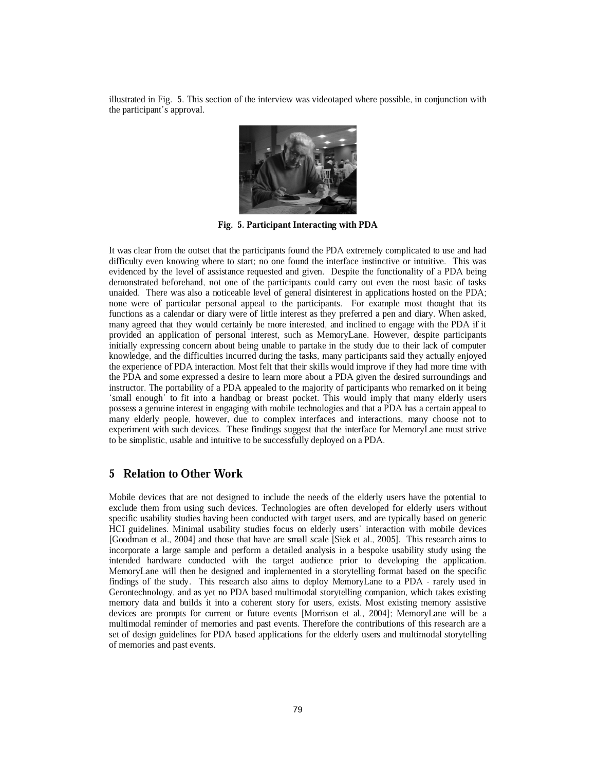illustrated in Fig. 5. This section of the interview was videotaped where possible, in conjunction with the participant's approval.



Fig. 5. Participant Interacting with PDA

It was clear from the outset that the participants found the PDA extremely complicated to use and had difficulty even knowing where to start; no one found the interface instinctive or intuitive. This was evidenced by the level of assistance requested and given. Despite the functionality of a PDA being demonstrated beforehand, not one of the participants could carry out even the most basic of tasks unaided. There was also a noticeable level of general disinterest in applications hosted on the PDA; none were of particular personal appeal to the participants. For example most thought that its functions as a calendar or diary were of little interest as they preferred a pen and diary. When asked, many agreed that they would certainly be more interested, and inclined to engage with the PDA if it provided an application of personal interest, such as MemoryLane. However, despite participants initially expressing concern about being unable to partake in the study due to their lack of computer knowledge, and the difficulties incurred during the tasks, many participants said they actually enjoyed the experience of PDA interaction. Most felt that their skills would improve if they had more time with the PDA and some expressed a desire to learn more about a PDA given the desired surroundings and instructor. The portability of a PDA appealed to the majority of participants who remarked on it being `small enough' to fit into a handbag or breast pocket. This would imply that many elderly users possess a genuine interest in engaging with mobile technologies and that a PDA has a certain appeal to many elderly people, however, due to complex interfaces and interactions, many choose not to experiment with such devices. These findings suggest that the interface for MemoryLane must strive to be simplistic, usable and intuitive to be successfully deployed on a PDA.

### 5 Relation to Other Work

Mobile devices that are not designed to include the needs of the elderly users have the potential to exclude them from using such devices. Technologies are often developed for elderly users without specific usability studies having been conducted with target users, and are typically based on generic HCI guidelines. Minimal usability studies focus on elderly users' interaction with mobile devices [Goodman et al., 2004] and those that have are small scale [Siek et al., 2005]. This research aims to incorporate a large sample and perform a detailed analysis in a bespoke usability study using the intended hardware conducted with the target audience prior to developing the application. MemoryLane will then be designed and implemented in a storytelling format based on the specific findings of the study. This research also aims to deploy MemoryLane to a PDA - rarely used in Gerontechnology, and as yet no PDA based multimodal storytelling companion, which takes existing memory data and builds it into a coherent story for users, exists. Most existing memory assistive devices are prompts for current or future events [Morrison et al., 2004]; MemoryLane will be a multimodal reminder of memories and past events. Therefore the contributions of this research are a set of design guidelines for PDA based applications for the elderly users and multimodal storytelling of memories and past events.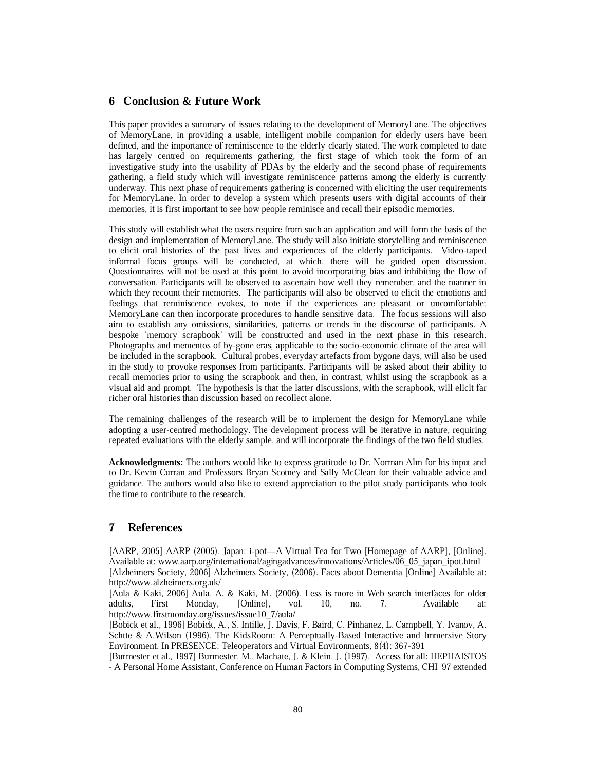### 6 Conclusion & Future Work

This paper provides a summary of issues relating to the development of MemoryLane. The objectives of MemoryLane, in providing a usable, intelligent mobile companion for elderly users have been defined, and the importance of reminiscence to the elderly clearly stated. The work completed to date has largely centred on requirements gathering, the first stage of which took the form of an investigative study into the usability of PDAs by the elderly and the second phase of requirements gathering, a field study which will investigate reminiscence patterns among the elderly is currently underway. This next phase of requirements gathering is concerned with eliciting the user requirements for MemoryLane. In order to develop a system which presents users with digital accounts of their memories, it is first important to see how people reminisce and recall their episodic memories.

This study will establish what the users require from such an application and will form the basis of the design and implementation of MemoryLane. The study will also initiate storytelling and reminiscence to elicit oral histories of the past lives and experiences of the elderly participants. Video-taped informal focus groups will be conducted, at which, there will be guided open discussion. Questionnaires will not be used at this point to avoid incorporating bias and inhibiting the flow of conversation. Participants will be observed to ascertain how well they remember, and the manner in which they recount their memories. The participants will also be observed to elicit the emotions and feelings that reminiscence evokes, to note if the experiences are pleasant or uncomfortable; MemoryLane can then incorporate procedures to handle sensitive data. The focus sessions will also aim to establish any omissions, similarities, patterns or trends in the discourse of participants. A bespoke `memory scrapbook' will be constructed and used in the next phase in this research. Photographs and mementos of by-gone eras, applicable to the socio-economic climate of the area will be included in the scrapbook. Cultural probes, everyday artefacts from bygone days, will also be used in the study to provoke responses from participants. Participants will be asked about their ability to recall memories prior to using the scrapbook and then, in contrast, whilst using the scrapbook as a visual aid and prompt. The hypothesis is that the latter discussions, with the scrapbook, will elicit far richer oral histories than discussion based on recollect alone.

The remaining challenges of the research will be to implement the design for MemoryLane while adopting a user-centred methodology. The development process will be iterative in nature, requiring repeated evaluations with the elderly sample, and will incorporate the findings of the two field studies.

Acknowledgments: The authors would like to express gratitude to Dr. Norman Alm for his input and to Dr. Kevin Curran and Professors Bryan Scotney and Sally McClean for their valuable advice and guidance. The authors would also like to extend appreciation to the pilot study participants who took the time to contribute to the research.

# 7 References

[AARP, 2005] AARP (2005). Japan: i-pot—A Virtual Tea for Two [Homepage of AARP], [Online]. Available at: www.aarp.org/international/agingadvances/innovations/Articles/06\_05\_japan\_ipot.html [Alzheimers Society, 2006] Alzheimers Society, (2006). Facts about Dementia [Online] Available at: http://www.alzheimers.org.uk/

[Aula & Kaki, 2006] Aula, A. & Kaki, M. (2006). Less is more in Web search interfaces for older adults, First Monday, [Online], vol. 10, no. 7. Available at: http://www.firstmonday.org/issues/issue10\_7/aula/

[Bobick et al., 1996] Bobick, A., S. Intille, J. Davis, F. Baird, C. Pinhanez, L. Campbell, Y. Ivanov, A. Schtte & A.Wilson (1996). The KidsRoom: A Perceptually-Based Interactive and Immersive Story Environment. In PRESENCE: Teleoperators and Virtual Environments, 8(4): 367-391

[Burmester et al., 1997] Burmester, M., Machate, J. & Klein, J. (1997). Access for all: HEPHAISTOS - A Personal Home Assistant, Conference on Human Factors in Computing Systems, CHI '97 extended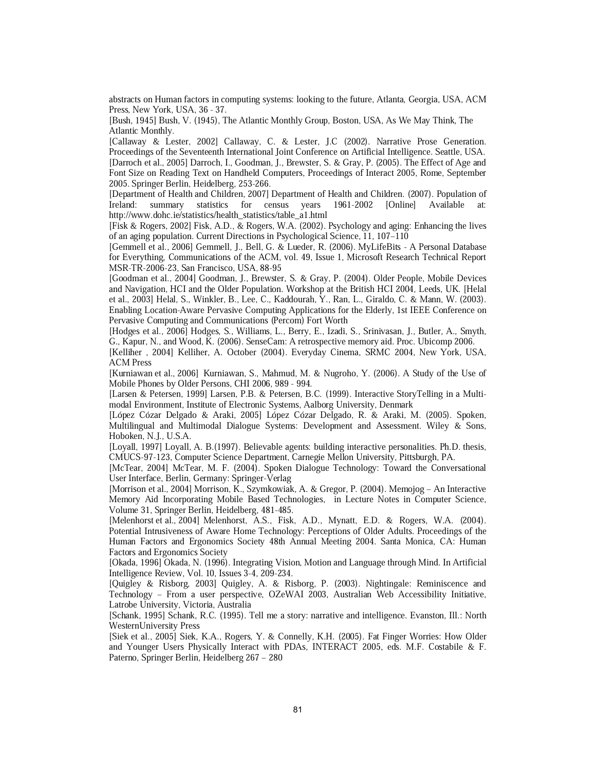abstracts on Human factors in computing systems: looking to the future, Atlanta, Georgia, USA, ACM Press, New York, USA, 36 - 37.

[Bush, 1945] Bush, V. (1945), The Atlantic Monthly Group, Boston, USA, As We May Think, The Atlantic Monthly.

[Callaway & Lester, 2002] Callaway, C. & Lester, J.C (2002). Narrative Prose Generation. Proceedings of the Seventeenth International Joint Conference on Artificial Intelligence. Seattle, USA. [Darroch et al., 2005] Darroch, I., Goodman, J., Brewster, S. & Gray, P. (2005). The Effect of Age and Font Size on Reading Text on Handheld Computers, Proceedings of Interact 2005, Rome, September 2005. Springer Berlin, Heidelberg, 253-266.

[Department of Health and Children, 2007] Department of Health and Children. (2007). Population of Ireland: summary statistics for census years 1961-2002 [Online] Available at: http://www.dohc.ie/statistics/health\_statistics/table\_a1.html

[Fisk & Rogers, 2002] Fisk, A.D., & Rogers, W.A. (2002). Psychology and aging: Enhancing the lives of an aging population. Current Directions in Psychological Science, 11, 107-110

[Gemmell et al., 2006] Gemmell, J., Bell, G. & Lueder, R. (2006). MyLifeBits - A Personal Database for Everything, Communications of the ACM, vol. 49, Issue 1, Microsoft Research Technical Report MSR-TR-2006-23, San Francisco, USA, 88-95

[Goodman et al., 2004] Goodman, J., Brewster, S. & Gray, P. (2004). Older People, Mobile Devices and Navigation, HCI and the Older Population. Workshop at the British HCI 2004, Leeds, UK. [Helal et al., 2003] Helal, S., Winkler, B., Lee, C., Kaddourah, Y., Ran, L., Giraldo, C. & Mann, W. (2003). Enabling Location-Aware Pervasive Computing Applications for the Elderly, 1st IEEE Conference on Pervasive Computing and Communications (Percom) Fort Worth

[Hodges et al., 2006] Hodges, S., Williams, L., Berry, E., Izadi, S., Srinivasan, J., Butler, A., Smyth, G., Kapur, N., and Wood, K. (2006). SenseCam: A retrospective memory aid. Proc. Ubicomp 2006.

[Kelliher , 2004] Kelliher, A. October (2004). Everyday Cinema, SRMC 2004, New York, USA, ACM Press

[Kurniawan et al., 2006] Kurniawan, S., Mahmud, M. & Nugroho, Y. (2006). A Study of the Use of Mobile Phones by Older Persons, CHI 2006, 989 - 994.

[Larsen & Petersen, 1999] Larsen, P.B. & Petersen, B.C. (1999). Interactive StoryTelling in a Multimodal Environment, Institute of Electronic Systems, Aalborg University, Denmark

[López Cózar Delgado & Araki, 2005] López Cózar Delgado, R. & Araki, M. (2005). Spoken, Multilingual and Multimodal Dialogue Systems: Development and Assessment. Wiley & Sons, Hoboken, N.J., U.S.A.

[Loyall, 1997] Loyall, A. B.(1997). Believable agents: building interactive personalities. Ph.D. thesis, CMUCS-97-123, Computer Science Department, Carnegie Mellon University, Pittsburgh, PA.

[McTear, 2004] McTear, M. F. (2004). Spoken Dialogue Technology: Toward the Conversational User Interface, Berlin, Germany: Springer-Verlag

[Morrison et al., 2004] Morrison, K., Szymkowiak, A. & Gregor, P. (2004). Memojog - An Interactive Memory Aid Incorporating Mobile Based Technologies, in Lecture Notes in Computer Science, Volume 31, Springer Berlin, Heidelberg, 481-485.

[Melenhorst et al., 2004] Melenhorst, A.S., Fisk, A.D., Mynatt, E.D. & Rogers, W.A. (2004). Potential Intrusiveness of Aware Home Technology: Perceptions of Older Adults. Proceedings of the Human Factors and Ergonomics Society 48th Annual Meeting 2004. Santa Monica, CA: Human Factors and Ergonomics Society

[Okada, 1996] Okada, N. (1996). Integrating Vision, Motion and Language through Mind. In Artificial Intelligence Review, Vol. 10, Issues 3-4, 209-234.

[Quigley & Risborg, 2003] Quigley, A. & Risborg, P. (2003). Nightingale: Reminiscence and Technology - From a user perspective, OZeWAI 2003, Australian Web Accessibility Initiative, Latrobe University, Victoria, Australia

[Schank, 1995] Schank, R.C. (1995). Tell me a story: narrative and intelligence. Evanston, Ill.: North WesternUniversity Press

[Siek et al., 2005] Siek, K.A., Rogers, Y. & Connelly, K.H. (2005). Fat Finger Worries: How Older and Younger Users Physically Interact with PDAs, INTERACT 2005, eds. M.F. Costabile & F. Paterno, Springer Berlin, Heidelberg 267 - 280